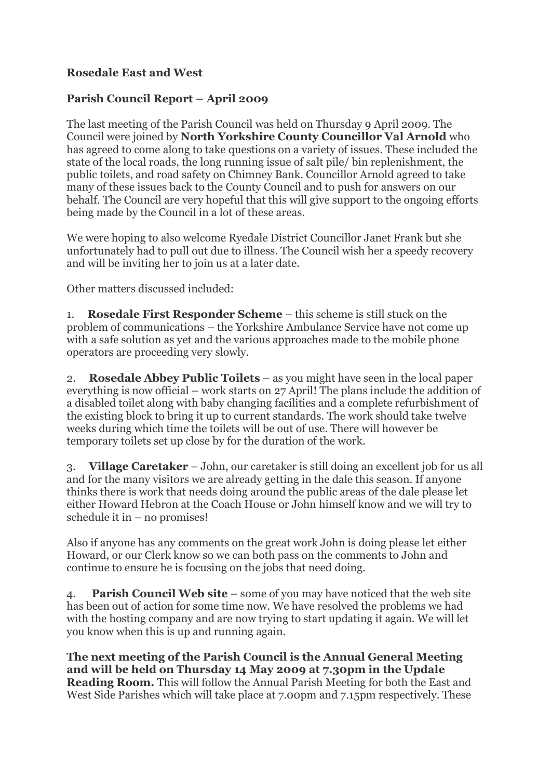## **Rosedale East and West**

## **Parish Council Report – April 2009**

The last meeting of the Parish Council was held on Thursday 9 April 2009. The Council were joined by **North Yorkshire County Councillor Val Arnold** who has agreed to come along to take questions on a variety of issues. These included the state of the local roads, the long running issue of salt pile/ bin replenishment, the public toilets, and road safety on Chimney Bank. Councillor Arnold agreed to take many of these issues back to the County Council and to push for answers on our behalf. The Council are very hopeful that this will give support to the ongoing efforts being made by the Council in a lot of these areas.

We were hoping to also welcome Ryedale District Councillor Janet Frank but she unfortunately had to pull out due to illness. The Council wish her a speedy recovery and will be inviting her to join us at a later date.

Other matters discussed included:

1. **Rosedale First Responder Scheme** – this scheme is still stuck on the problem of communications – the Yorkshire Ambulance Service have not come up with a safe solution as yet and the various approaches made to the mobile phone operators are proceeding very slowly.

2. **Rosedale Abbey Public Toilets** – as you might have seen in the local paper everything is now official – work starts on 27 April! The plans include the addition of a disabled toilet along with baby changing facilities and a complete refurbishment of the existing block to bring it up to current standards. The work should take twelve weeks during which time the toilets will be out of use. There will however be temporary toilets set up close by for the duration of the work.

3. **Village Caretaker** – John, our caretaker is still doing an excellent job for us all and for the many visitors we are already getting in the dale this season. If anyone thinks there is work that needs doing around the public areas of the dale please let either Howard Hebron at the Coach House or John himself know and we will try to schedule it in – no promises!

Also if anyone has any comments on the great work John is doing please let either Howard, or our Clerk know so we can both pass on the comments to John and continue to ensure he is focusing on the jobs that need doing.

4. **Parish Council Web site** – some of you may have noticed that the web site has been out of action for some time now. We have resolved the problems we had with the hosting company and are now trying to start updating it again. We will let you know when this is up and running again.

**The next meeting of the Parish Council is the Annual General Meeting and will be held on Thursday 14 May 2009 at 7.30pm in the Updale Reading Room.** This will follow the Annual Parish Meeting for both the East and West Side Parishes which will take place at 7.00pm and 7.15pm respectively. These